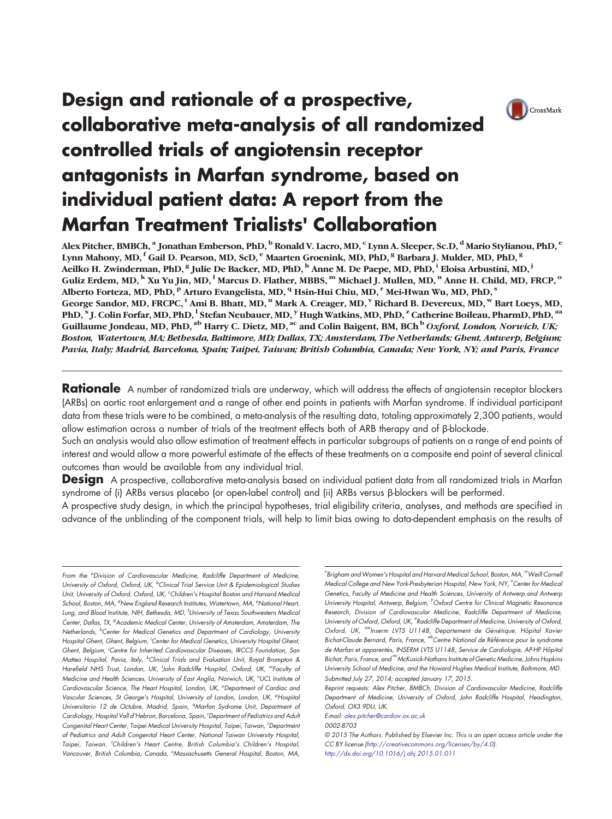# Design and rationale of a prospective, collaborative meta-analysis of all randomized controlled trials of angiotensin receptor antagonists in Marfan syndrome, based on individual patient data: A report from the Marfan Treatment Trialists' Collaboration

Alex Pitcher, BMBCh, <sup>a</sup> Jonathan Emberson, PhD, <sup>b</sup> Ronald V. Lacro, MD, <sup>c</sup> Lynn A. Sleeper, Sc.D, <sup>d</sup> Mario Stylianou, PhD, <sup>e</sup> Lynn Mahony, MD, <sup>f</sup> Gail D. Pearson, MD, ScD, <sup>e</sup> Maarten Groenink, MD, PhD, <sup>g</sup> Barbara J. Mulder, MD, PhD, <sup>g</sup> Aeilko H. Zwinderman, PhD, <sup>g</sup> Julie De Backer, MD, PhD, <sup>h</sup> Anne M. De Paepe, MD, PhD, <sup>i</sup> Eloisa Arbustini, MD, <sup>j</sup> Guliz Erdem, MD,  ${}^k$  Xu Yu Jin, MD,  ${}^l$  Marcus D. Flather, MBBS,  ${}^m$  Michael J. Mullen, MD,  ${}^n$  Anne H. Child, MD, FRCP,  ${}^o$ Alberto Forteza, MD, PhD, <sup>p</sup> Arturo Evangelista, MD, <sup>q</sup> Hsin-Hui Chiu, MD, <sup>r</sup> Mei-Hwan Wu, MD, PhD, <sup>s</sup> George Sandor, MD, FRCPC, <sup>t</sup> Ami B. Bhatt, MD, <sup>u</sup> Mark A. Creager, MD, <sup>v</sup> Richard B. Devereux, MD, <sup>w</sup> Bart Loeys, MD, PhD, <sup>x</sup> J. Colin Forfar, MD, PhD, <sup>1</sup> Stefan Neubauer, MD, <sup>y</sup> Hugh Watkins, MD, PhD, <sup>z</sup> Catherine Boileau, PharmD, PhD, <sup>aa</sup> Guillaume Jondeau, MD, PhD, <sup>ab</sup> Harry C. Dietz, MD, <sup>ac</sup> and Colin Baigent, BM, BCh<sup>b</sup> Oxford, London, Norwich, UK; Boston, Watertown, MA; Bethesda, Baltimore, MD; Dallas, TX; Amsterdam, The Netherlands; Ghent, Antwerp, Belgium; Pavia, Italy; Madrid, Barcelona, Spain; Taipei, Taiwan; British Columbia, Canada; New York, NY; and Paris, France

Rationale A number of randomized trials are underway, which will address the effects of angiotensin receptor blockers (ARBs) on aortic root enlargement and a range of other end points in patients with Marfan syndrome. If individual participant data from these trials were to be combined, a meta-analysis of the resulting data, totaling approximately 2,300 patients, would allow estimation across a number of trials of the treatment effects both of ARB therapy and of β-blockade.

Such an analysis would also allow estimation of treatment effects in particular subgroups of patients on a range of end points of interest and would allow a more powerful estimate of the effects of these treatments on a composite end point of several clinical outcomes than would be available from any individual trial.

**Design** A prospective, collaborative meta-analysis based on individual patient data from all randomized trials in Marfan syndrome of (i) ARBs versus placebo (or open-label control) and (ii) ARBs versus β-blockers will be performed.

A prospective study design, in which the principal hypotheses, trial eligibility criteria, analyses, and methods are specified in advance of the unblinding of the component trials, will help to limit bias owing to data-dependent emphasis on the results of

From the <sup>a</sup>Division of Cardiovascular Medicine, Radcliffe Department of Medicine, University of Oxford, Oxford, UK, <sup>b</sup>Clinical Trial Service Unit & Epidemiological Studies Unit, University of Oxford, Oxford, UK, "Children's Hospital Boston and Harvard Medica. School, Boston, MA, <sup>d</sup>New England Research Institutes, Watertown, MA, <sup>e</sup>National Heart, Lung, and Blood Institute, NIH, Bethesda, MD, <sup>f</sup>University of Texas Southwestern Medica. Center, Dallas, TX, <sup>g</sup>Academic Medical Center, University of Amsterdam, Amsterdam, The Netherlands, <sup>h</sup>Center for Medical Genetics and Department of Cardiology, University Hospital Ghent, Ghent, Belgium, <sup>i</sup>Center for Medical Genetics, University Hospital Ghent, Ghent, Belgium, <sup>i</sup>Centre for Inherited Cardiovascular Diseases, IRCCS Foundation, San Matteo Hospital, Pavia, Italy, <sup>k</sup>Clinical Trials and Evaluation Unit, Royal Brompton & Harefield NHS Trust, London, UK, <sup>I</sup>John Radcliffe Hospital, Oxford, UK, <sup>m</sup>Faculty oi Medicine and Health Sciences, University of East Anglia, Norwich, UK, "UCL Institute of Cardiovascular Science, The Heart Hospital, London, UK, °Department of Cardiac and Vascular Sciences, St George's Hospital, University of London, London, UK, <sup>p</sup>Hospita. Universitario 12 de Octubre, Madrid, Spain, <sup>q</sup>Marfan Sydrome Unit, Department of Cardiology, Hospital Vall d'Hebron, Barcelona, Spain, 'Department of Pediatrics and Adult Congenital Heart Center, Taipei Medical University Hospital, Taipei, Taiwan, <sup>s</sup>Department of Pediatrics and Adult Congenital Heart Center, National Taiwan University Hospital, Taipei, Taiwan, <sup>t</sup>Children's Heart Centre, British Columbia's Children's Hospital, Vancouver, British Columbia, Canada, "Massachusetts General Hospital, Boston, MA,

<sup>v</sup>Brigham and Women's Hospital and Harvard Medical School, Boston, MA, <sup>w</sup>Weill Cornel Medical College and New York-Presbyterian Hospital, New York, NY, <sup>x</sup>Center for Medica Genetics, Faculty of Medicine and Health Sciences, University of Antwerp and Antwerp University Hospital, Antwerp, Belgium, <sup>y</sup> Oxford Centre for Clinical Magnetic Resonance Research, Division of Cardiovascular Medicine, Radcliffe Department of Medicine, University of Oxford, Oxford, UK, <sup>z</sup>Radcliffe Department of Medicine, University of Oxford, Oxford, UK, <sup>aa</sup>Inserm LVTS U1148, Departement de Génétique, Hôpital Xavier Bichat-Claude Bernard, Paris, France, <sup>ab</sup>Centre National de Référence pour le syndrome de Marfan et apparentés, INSERM LVTS U1148, Service de Cardiologie, AP-HP Hôpital Bichat, Paris, France, and <sup>ac</sup> McKusick-Nathans Institute of Genetic Medicine, Johns Hopkins University School of Medicine, and the Howard Hughes Medical Institute, Baltimore, MD. Submitted July 27, 2014; accepted January 17, 2015.

CrossMark

Reprint requests: Alex Pitcher, BMBCh, Division of Cardiovascular Medicine, Radcliffe Department of Medicine, University of Oxford, John Radcliffe Hospital, Headington, Oxford, OX3 9DU, UK.

E-mail: [alex.pitcher@cardiov.ox.ac.uk](mailto:alex.pitcher@cardiov.ox.ac.uk)

© 2015 The Authors. Published by Elsevier Inc. This is an open access article under the CC BY license (http://creativecommons.org/licenses/by/4.0).

<http://dx.doi.org/10.1016/j.ahj.2015.01.011>

<sup>0002-8703</sup>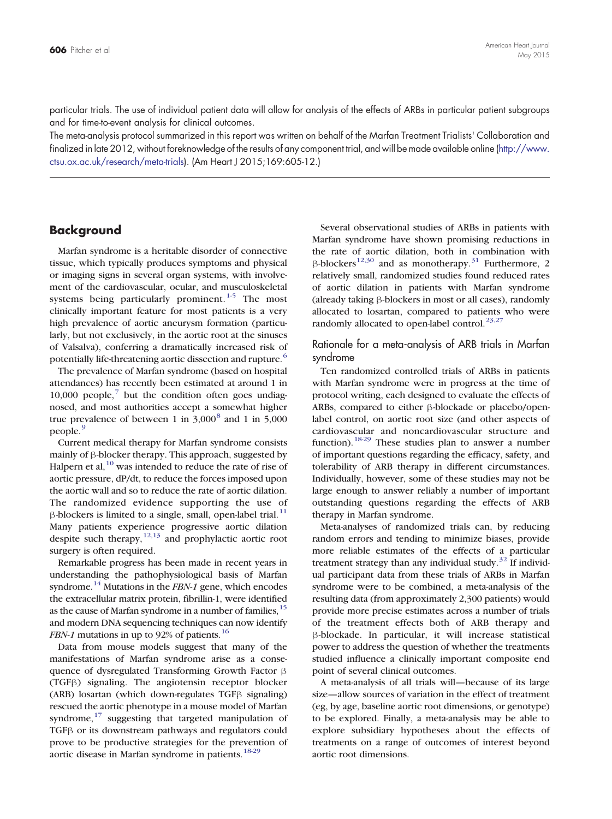particular trials. The use of individual patient data will allow for analysis of the effects of ARBs in particular patient subgroups and for time-to-event analysis for clinical outcomes.

The meta-analysis protocol summarized in this report was written on behalf of the Marfan Treatment Trialists' Collaboration and finalized in late 2012, without foreknowledge of the results of any component trial, and will be made available online ([http://www.](http://www.ctsu.ox.ac.uk/research/meta-trials) [ctsu.ox.ac.uk/research/meta-trials\)](http://www.ctsu.ox.ac.uk/research/meta-trials). (Am Heart J 2015;169:605-12.)

# **Background**

Marfan syndrome is a heritable disorder of connective tissue, which typically produces symptoms and physical or imaging signs in several organ systems, with involvement of the cardiovascular, ocular, and musculoskeletal systems being particularly prominent[.](#page-6-0)<sup>[1-5](#page-6-0)</sup> The most clinically important feature for most patients is a very high prevalence of aortic aneurysm formation (particularly, but not exclusively, in the aortic root at the sinuses of Valsalva), conferring a dramatically increased risk of potentially life-threatening aortic dissection and rupture[.](#page-7-0)<sup>[6](#page-7-0)</sup>

The prevalence of Marfan syndrome (based on hospital attendances) has recently been estimated at around 1 in 10[,](#page-7-0)000 people, $\frac{7}{1}$  $\frac{7}{1}$  $\frac{7}{1}$  but the condition often goes undiagnosed, and most authorities accept a somewhat higher true prevalence of between 1 in  $3,000^8$  $3,000^8$  $3,000^8$  $3,000^8$  and 1 in 5,000 people.<sup>[9](#page-7-0)</sup>

Current medical therapy for Marfan syndrome consists mainly of β-blocker therapy. This approach, suggested by Halpern et al[,](#page-7-0)  $^{10}$  $^{10}$  $^{10}$  was intended to reduce the rate of rise of aortic pressure, dP/dt, to reduce the forces imposed upon the aortic wall and so to reduce the rate of aortic dilation. The randomized evidence supporting the use of  $β$ -blockers is limited to a single, small, open-label trial[.](#page-7-0)<sup>[11](#page-7-0)</sup> Many patients experience progressive aortic dilation despite such therapy[,](#page-7-0)  $12,13$  and prophylactic aortic root surgery is often required.

Remarkable progress has been made in recent years in understanding the pathophysiological basis of Marfan syndrome[.](#page-7-0)<sup>[14](#page-7-0)</sup> Mutations in the *FBN-1* gene, which encodes the extracellular matrix protein, fibrillin-1, were identified as the cause of Marfan syndrome in a number of families[,](#page-7-0)<sup>[15](#page-7-0)</sup> and modern DNA sequencing techniques can now identify  $FBN-1$  mutations in up to 92% of patients[.](#page-7-0)<sup>[16](#page-7-0)</sup>

Data from mouse models suggest that many of the manifestations of Marfan syndrome arise as a consequence of dysregulated Transforming Growth Factor β (TGFβ) signaling. The angiotensin receptor blocker (ARB) losartan (which down-regulates TGFβ signaling) rescued the aortic phenotype in a mouse model of Marfan syndrome[,](#page-7-0) $17$  suggesting that targeted manipulation of TGFβ or its downstream pathways and regulators could prove to be productive strategies for the prevention of aortic disease in Marfan syndrome in patients[.](#page-7-0)<sup>[18-29](#page-7-0)</sup>

Several observational studies of ARBs in patients with Marfan syndrome have shown promising reductions in the rate of aortic dilation, both in combination with  $β\text{-}blocks<sup>12,30</sup>$  $β\text{-}blocks<sup>12,30</sup>$  $β\text{-}blocks<sup>12,30</sup>$  $β\text{-}blocks<sup>12,30</sup>$  $β\text{-}blocks<sup>12,30</sup>$  and as monotherapy[.](#page-7-0)<sup>[31](#page-7-0)</sup> Furthermore, 2 relatively small, randomized studies found reduced rates of aortic dilation in patients with Marfan syndrome (already taking β-blockers in most or all cases), randomly allocated to losartan, compared to patients who were randomly allocated to open-label control[.](#page-7-0)<sup>[23,27](#page-7-0)</sup>

## Rationale for a meta-analysis of ARB trials in Marfan syndrome

Ten randomized controlled trials of ARBs in patients with Marfan syndrome were in progress at the time of protocol writing, each designed to evaluate the effects of ARBs, compared to either β-blockade or placebo/openlabel control, on aortic root size (and other aspects of cardiovascular and noncardiovascular structure and function)[.](#page-7-0)[18-29](#page-7-0) These studies plan to answer a number of important questions regarding the efficacy, safety, and tolerability of ARB therapy in different circumstances. Individually, however, some of these studies may not be large enough to answer reliably a number of important outstanding questions regarding the effects of ARB therapy in Marfan syndrome.

Meta-analyses of randomized trials can, by reducing random errors and tending to minimize biases, provide more reliable estimates of the effects of a particular treatment strategy than any individual study[.](#page-7-0) $32$  If individual participant data from these trials of ARBs in Marfan syndrome were to be combined, a meta-analysis of the resulting data (from approximately 2,300 patients) would provide more precise estimates across a number of trials of the treatment effects both of ARB therapy and β-blockade. In particular, it will increase statistical power to address the question of whether the treatments studied influence a clinically important composite end point of several clinical outcomes.

A meta-analysis of all trials will—because of its large size—allow sources of variation in the effect of treatment (eg, by age, baseline aortic root dimensions, or genotype) to be explored. Finally, a meta-analysis may be able to explore subsidiary hypotheses about the effects of treatments on a range of outcomes of interest beyond aortic root dimensions.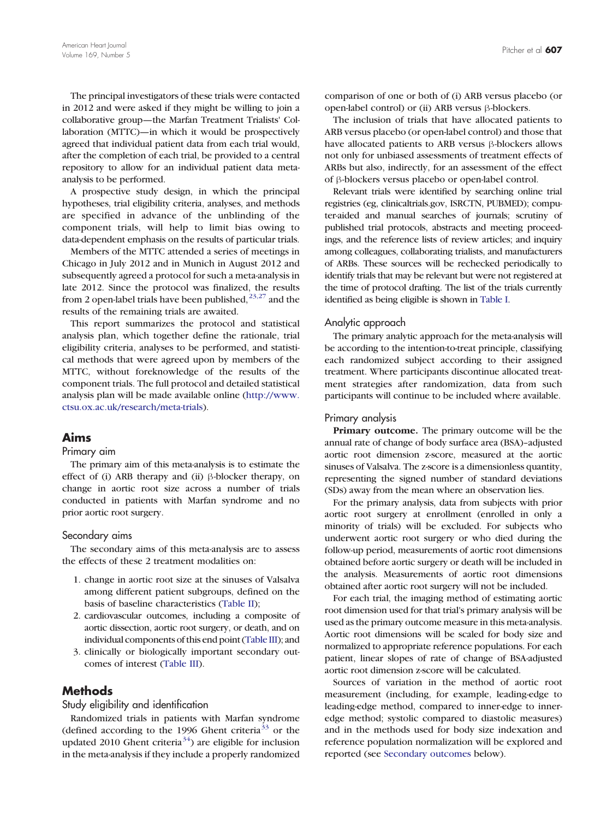The principal investigators of these trials were contacted in 2012 and were asked if they might be willing to join a collaborative group—the Marfan Treatment Trialists' Collaboration (MTTC)—in which it would be prospectively agreed that individual patient data from each trial would, after the completion of each trial, be provided to a central repository to allow for an individual patient data metaanalysis to be performed.

A prospective study design, in which the principal hypotheses, trial eligibility criteria, analyses, and methods are specified in advance of the unblinding of the component trials, will help to limit bias owing to data-dependent emphasis on the results of particular trials.

Members of the MTTC attended a series of meetings in Chicago in July 2012 and in Munich in August 2012 and subsequently agreed a protocol for such a meta-analysis in late 2012. Since the protocol was finalized, the results from 2 open-label trials have been published[,](#page-7-0)  $23,27$  and the results of the remaining trials are awaited.

This report summarizes the protocol and statistical analysis plan, which together define the rationale, trial eligibility criteria, analyses to be performed, and statistical methods that were agreed upon by members of the MTTC, without foreknowledge of the results of the component trials. The full protocol and detailed statistical analysis plan will be made available online [\(http://www.](http://www.ctsu.ox.ac.uk/research/meta-trials) [ctsu.ox.ac.uk/research/meta-trials\)](http://www.ctsu.ox.ac.uk/research/meta-trials).

## Aims

#### Primary aim

The primary aim of this meta-analysis is to estimate the effect of (i) ARB therapy and (ii) β-blocker therapy, on change in aortic root size across a number of trials conducted in patients with Marfan syndrome and no prior aortic root surgery.

### Secondary aims

The secondary aims of this meta-analysis are to assess the effects of these 2 treatment modalities on:

- 1. change in aortic root size at the sinuses of Valsalva among different patient subgroups, defined on the basis of baseline characteristics [\(Table II](#page-5-0));
- 2. cardiovascular outcomes, including a composite of aortic dissection, aortic root surgery, or death, and on individual components of this end point [\(Table III](#page-6-0)); and
- 3. clinically or biologically important secondary outcomes of interest [\(Table III\)](#page-6-0).

## **Methods**

Study eligibility and identification

Randomized trials in patients with Marfan syndrome (defined [a](#page-7-0)ccording to the 1996 Ghent criteria<sup>[33](#page-7-0)</sup> or the upd[a](#page-7-0)ted 2010 Ghent criteria<sup>[34](#page-7-0)</sup>) are eligible for inclusion in the meta-analysis if they include a properly randomized comparison of one or both of (i) ARB versus placebo (or open-label control) or (ii) ARB versus β-blockers.

The inclusion of trials that have allocated patients to ARB versus placebo (or open-label control) and those that have allocated patients to ARB versus β-blockers allows not only for unbiased assessments of treatment effects of ARBs but also, indirectly, for an assessment of the effect of β-blockers versus placebo or open-label control.

Relevant trials were identified by searching online trial registries (eg, clinicaltrials.gov, ISRCTN, PUBMED); computer-aided and manual searches of journals; scrutiny of published trial protocols, abstracts and meeting proceedings, and the reference lists of review articles; and inquiry among colleagues, collaborating trialists, and manufacturers of ARBs. These sources will be rechecked periodically to identify trials that may be relevant but were not registered at the time of protocol drafting. The list of the trials currently identified as being eligible is shown in [Table I.](#page-3-0)

## Analytic approach

The primary analytic approach for the meta-analysis will be according to the intention-to-treat principle, classifying each randomized subject according to their assigned treatment. Where participants discontinue allocated treatment strategies after randomization, data from such participants will continue to be included where available.

## Primary analysis

Primary outcome. The primary outcome will be the annual rate of change of body surface area (BSA)–adjusted aortic root dimension z-score, measured at the aortic sinuses of Valsalva. The z-score is a dimensionless quantity, representing the signed number of standard deviations (SDs) away from the mean where an observation lies.

For the primary analysis, data from subjects with prior aortic root surgery at enrollment (enrolled in only a minority of trials) will be excluded. For subjects who underwent aortic root surgery or who died during the follow-up period, measurements of aortic root dimensions obtained before aortic surgery or death will be included in the analysis. Measurements of aortic root dimensions obtained after aortic root surgery will not be included.

For each trial, the imaging method of estimating aortic root dimension used for that trial's primary analysis will be used as the primary outcome measure in this meta-analysis. Aortic root dimensions will be scaled for body size and normalized to appropriate reference populations. For each patient, linear slopes of rate of change of BSA-adjusted aortic root dimension z-score will be calculated.

Sources of variation in the method of aortic root measurement (including, for example, leading-edge to leading-edge method, compared to inner-edge to inneredge method; systolic compared to diastolic measures) and in the methods used for body size indexation and reference population normalization will be explored and reported (see [Secondary outcomes](#page-5-0) below).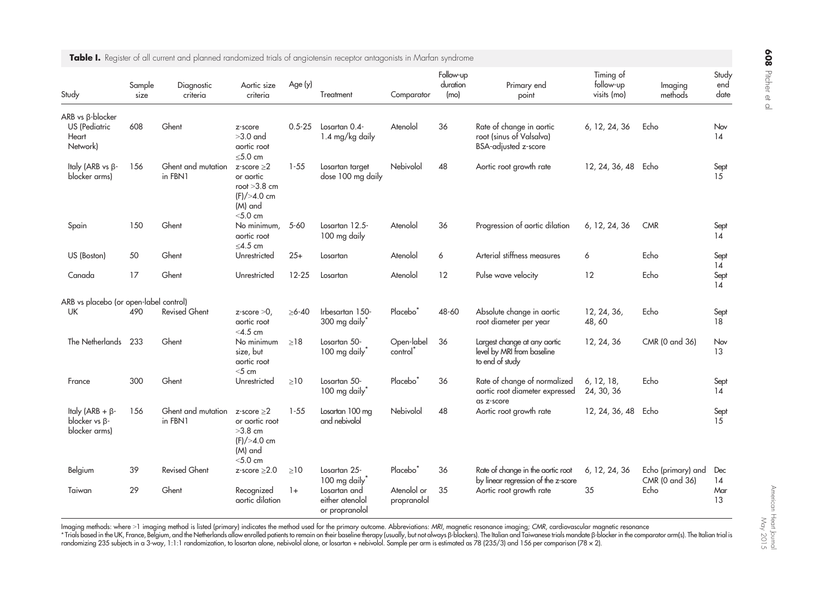<span id="page-3-0"></span>

| Study                                                           | Sample<br>size | Diagnostic<br>criteria        | Aortic size<br>criteria                                                                  | Age (y)       | Treatment                                         | Comparator                         | Follow-up<br>duration<br>(mo) | Primary end<br>point                                                                | Timing of<br>follow-up<br>visits (mo) | Imaging<br>methods                   | Study<br>end<br>date |
|-----------------------------------------------------------------|----------------|-------------------------------|------------------------------------------------------------------------------------------|---------------|---------------------------------------------------|------------------------------------|-------------------------------|-------------------------------------------------------------------------------------|---------------------------------------|--------------------------------------|----------------------|
| $ARB$ vs $\beta$ -blocker<br>US (Pediatric<br>Heart<br>Network) | 608            | Ghent                         | z-score<br>$>3.0$ and<br>aortic root<br>$\leq 5.0$ cm                                    | $0.5 - 25$    | Losartan 0.4-<br>1.4 mg/kg daily                  | Atenolol                           | 36                            | Rate of change in aortic<br>root (sinus of Valsalva)<br><b>BSA-adjusted z-score</b> | 6, 12, 24, 36                         | Echo                                 | Nov<br>14            |
| Italy (ARB vs $\beta$ -<br>blocker arms)                        | 156            | Ghent and mutation<br>in FBN1 | $z$ -score $>2$<br>or gortic<br>root $>3.8$ cm<br>$(F)/>4.0$ cm<br>(M) and<br>$<$ 5.0 cm | $1 - 55$      | Losartan target<br>dose 100 mg daily              | Nebivolol                          | 48                            | Aortic root growth rate                                                             | 12, 24, 36, 48 Echo                   |                                      | Sept<br>1.5          |
| Spain                                                           | 150            | Ghent                         | No minimum,<br>aortic root<br>≤4.5 cm                                                    | $5 - 60$      | Losartan 12.5-<br>100 mg daily                    | Atenolol                           | 36                            | Progression of aortic dilation                                                      | 6, 12, 24, 36                         | <b>CMR</b>                           | Sept<br>14           |
| US (Boston)                                                     | 50             | Ghent                         | Unrestricted                                                                             | $25+$         | Losartan                                          | Atenolol                           | 6                             | Arterial stiffness measures                                                         | 6                                     | Echo                                 | Sept<br>14           |
| Canada                                                          | 17             | Ghent                         | Unrestricted                                                                             | $12 - 25$     | Losartan                                          | Atenolol                           | 12                            | Pulse wave velocity                                                                 | 12                                    | Echo                                 | Sept<br>14           |
| ARB vs placebo (or open-label control)                          |                |                               |                                                                                          |               |                                                   |                                    |                               |                                                                                     |                                       |                                      |                      |
| UK                                                              | 490            | Revised Ghent                 | $z$ -score $>0$ ,<br>aortic root<br>$<$ 4.5 cm                                           | $\geq 6 - 40$ | Irbesartan 150-<br>300 mg daily                   | Placebo <sup>*</sup>               | 48-60                         | Absolute change in aortic<br>root diameter per year                                 | 12, 24, 36,<br>48,60                  | Echo                                 | Sept<br>18           |
| The Netherlands 233                                             |                | Ghent                         | No minimum<br>size, but<br>aortic root<br>$<$ 5 cm                                       | $\geq$ 18     | Losartan 50-<br>100 mg daily*                     | Open-label<br>control <sup>'</sup> | 36                            | Largest change at any aortic<br>level by MRI from baseline<br>to end of study       | 12, 24, 36                            | CMR (0 and 36)                       | Nov<br>13            |
| France                                                          | 300            | Ghent                         | Unrestricted                                                                             | $\geq 10$     | Losartan 50-<br>100 mg daily <sup>*</sup>         | Placebo <sup>*</sup>               | 36                            | Rate of change of normalized<br>aortic root diameter expressed<br>as z-score        | 6, 12, 18,<br>24, 30, 36              | Echo                                 | Sept<br>14           |
| Italy $(ARB + \beta -$<br>blocker vs $\beta$ -<br>blocker arms) | 156            | Ghent and mutation<br>in FBN1 | $z$ -score $>2$<br>or aortic root<br>$>3.8$ cm<br>$(F)/>4.0$ cm<br>(M) and<br>$<$ 5.0 cm | $1 - 55$      | Losartan 100 mg<br>and nebivolol                  | Nebivolol                          | 48                            | Aortic root growth rate                                                             | 12, 24, 36, 48                        | Echo                                 | Sept<br>15           |
| Belgium                                                         | 39             | Revised Ghent                 | $z$ -score $\geq$ 2.0                                                                    | $\geq 10$     | Losartan 25-<br>100 mg daily                      | Placebo <sup>®</sup>               | 36                            | Rate of change in the aortic root<br>by linear regression of the z-score            | 6, 12, 24, 36                         | Echo (primary) and<br>CMR (0 and 36) | Dec<br>14            |
| Taiwan                                                          | 29             | Ghent                         | Recognized<br>aortic dilation                                                            | $1+$          | Losartan and<br>either atenolol<br>or propranolol | Atenolol or<br>propranolol         | 35                            | Aortic root growth rate                                                             | 35                                    | Echo                                 | Mar<br>13            |

**Table I.** Register of all current and planned randomized trials of angiotensin receptor antagonists in Marfan syndrome

Imaging methods: where >1 imaging method is listed (primary) indicates the method used for the primary outcome. Abbreviations: MRI, magnetic resonance imaging; CMR, cardiovascular magnetic resonance<br>\* Trials based in the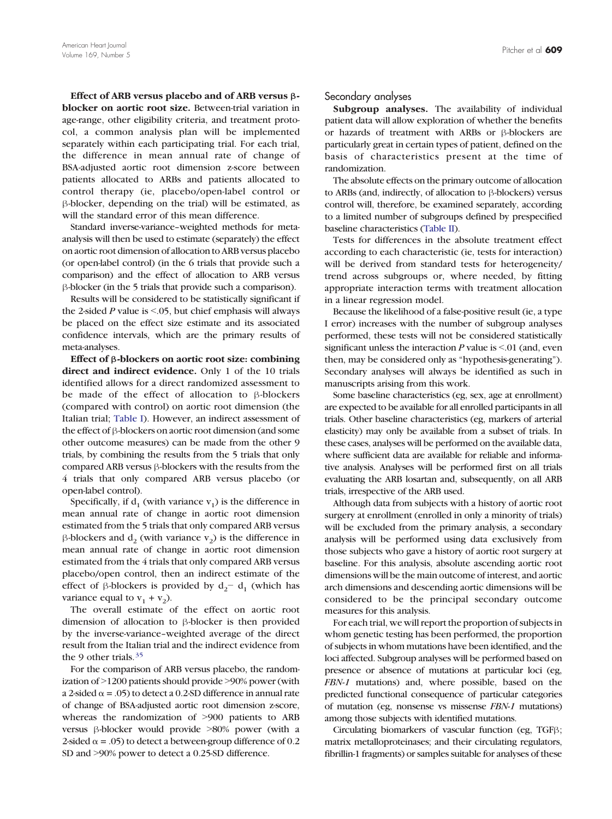Effect of ARB versus placebo and of ARB versus βblocker on aortic root size. Between-trial variation in age-range, other eligibility criteria, and treatment protocol, a common analysis plan will be implemented separately within each participating trial. For each trial, the difference in mean annual rate of change of BSA-adjusted aortic root dimension z-score between patients allocated to ARBs and patients allocated to control therapy (ie, placebo/open-label control or β-blocker, depending on the trial) will be estimated, as will the standard error of this mean difference.

Standard inverse-variance–weighted methods for metaanalysis will then be used to estimate (separately) the effect on aortic root dimension of allocation to ARB versus placebo (or open-label control) (in the 6 trials that provide such a comparison) and the effect of allocation to ARB versus β-blocker (in the 5 trials that provide such a comparison).

Results will be considered to be statistically significant if the 2-sided  $P$  value is  $\le$ .05, but chief emphasis will always be placed on the effect size estimate and its associated confidence intervals, which are the primary results of meta-analyses.

Effect of β-blockers on aortic root size: combining direct and indirect evidence. Only 1 of the 10 trials identified allows for a direct randomized assessment to be made of the effect of allocation to β-blockers (compared with control) on aortic root dimension (the Italian trial; [Table I](#page-3-0)). However, an indirect assessment of the effect of β-blockers on aortic root dimension (and some other outcome measures) can be made from the other 9 trials, by combining the results from the 5 trials that only compared ARB versus β-blockers with the results from the 4 trials that only compared ARB versus placebo (or open-label control).

Specifically, if  $d_1$  (with variance  $v_1$ ) is the difference in mean annual rate of change in aortic root dimension estimated from the 5 trials that only compared ARB versus β-blockers and  $d_2$  (with variance v<sub>2</sub>) is the difference in mean annual rate of change in aortic root dimension estimated from the 4 trials that only compared ARB versus placebo/open control, then an indirect estimate of the effect of β-blockers is provided by  $d_2$ - d<sub>1</sub> (which has variance equal to  $v_1 + v_2$ ).

The overall estimate of the effect on aortic root dimension of allocation to β-blocker is then provided by the inverse-variance–weighted average of the direct result from the Italian trial and the indirect evidence from the 9 other trials[.](#page-7-0)<sup>[35](#page-7-0)</sup>

For the comparison of ARB versus placebo, the randomization of >1200 patients should provide >90% power (with a 2-sided  $\alpha$  = .05) to detect a 0.2-SD difference in annual rate of change of BSA-adjusted aortic root dimension z-score, whereas the randomization of  $>900$  patients to ARB versus β-blocker would provide  $>80%$  power (with a 2-sided  $\alpha$  = .05) to detect a between-group difference of 0.2 SD and >90% power to detect a 0.25-SD difference.

## Secondary analyses

Subgroup analyses. The availability of individual patient data will allow exploration of whether the benefits or hazards of treatment with ARBs or β-blockers are particularly great in certain types of patient, defined on the basis of characteristics present at the time of randomization.

The absolute effects on the primary outcome of allocation to ARBs (and, indirectly, of allocation to β-blockers) versus control will, therefore, be examined separately, according to a limited number of subgroups defined by prespecified baseline characteristics [\(Table II](#page-5-0)).

Tests for differences in the absolute treatment effect according to each characteristic (ie, tests for interaction) will be derived from standard tests for heterogeneity/ trend across subgroups or, where needed, by fitting appropriate interaction terms with treatment allocation in a linear regression model.

Because the likelihood of a false-positive result (ie, a type I error) increases with the number of subgroup analyses performed, these tests will not be considered statistically significant unless the interaction  $P$  value is  $\le$ .01 (and, even then, may be considered only as "hypothesis-generating"). Secondary analyses will always be identified as such in manuscripts arising from this work.

Some baseline characteristics (eg, sex, age at enrollment) are expected to be available for all enrolled participants in all trials. Other baseline characteristics (eg, markers of arterial elasticity) may only be available from a subset of trials. In these cases, analyses will be performed on the available data, where sufficient data are available for reliable and informative analysis. Analyses will be performed first on all trials evaluating the ARB losartan and, subsequently, on all ARB trials, irrespective of the ARB used.

Although data from subjects with a history of aortic root surgery at enrollment (enrolled in only a minority of trials) will be excluded from the primary analysis, a secondary analysis will be performed using data exclusively from those subjects who gave a history of aortic root surgery at baseline. For this analysis, absolute ascending aortic root dimensions will be the main outcome of interest, and aortic arch dimensions and descending aortic dimensions will be considered to be the principal secondary outcome measures for this analysis.

For each trial, we will report the proportion of subjects in whom genetic testing has been performed, the proportion of subjects in whom mutations have been identified, and the loci affected. Subgroup analyses will be performed based on presence or absence of mutations at particular loci (eg, FBN-1 mutations) and, where possible, based on the predicted functional consequence of particular categories of mutation (eg, nonsense vs missense FBN-1 mutations) among those subjects with identified mutations.

Circulating biomarkers of vascular function (eg, TGFβ; matrix metalloproteinases; and their circulating regulators, fibrillin-1 fragments) or samples suitable for analyses of these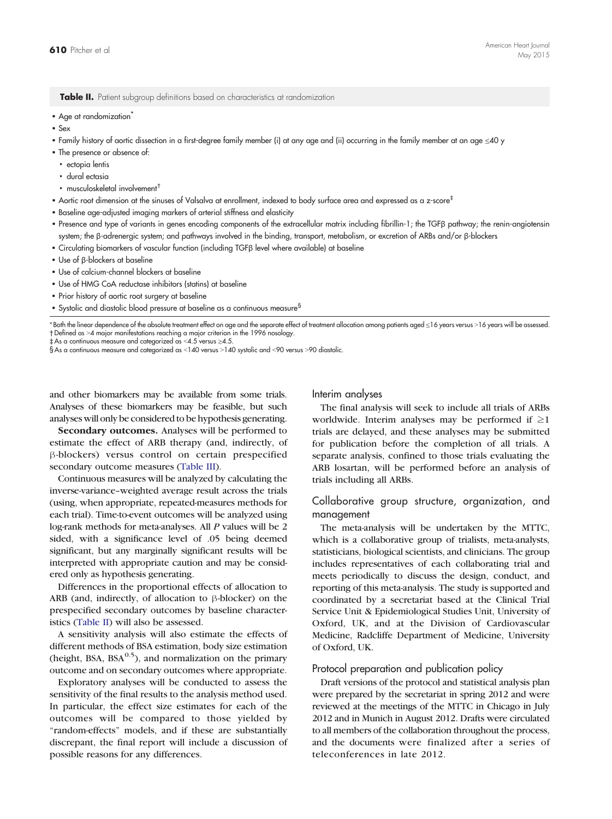<span id="page-5-0"></span>Table II. Patient subgroup definitions based on characteristics at randomization

- Age at randomization<sup>\*</sup>
- Sex
- Family history of aortic dissection in a first-degree family member (i) at any age and (ii) occurring in the family member at an age ≤40 y
- The presence or absence of:
- ectopia lentis
- dural ectasia
- musculoskeletal involvement†
- Aortic root dimension at the sinuses of Valsalva at enrollment, indexed to body surface area and expressed as a z-score<sup>‡</sup>
- Baseline age-adjusted imaging markers of arterial stiffness and elasticity
- Presence and type of variants in genes encoding components of the extracellular matrix including fibrillin-1; the TGFβ pathway; the renin-angiotensin system; the β-adrenergic system; and pathways involved in the binding, transport, metabolism, or excretion of ARBs and/or β-blockers
- Circulating biomarkers of vascular function (including TGFβ level where available) at baseline
- Use of β-blockers at baseline
- Use of calcium-channel blockers at baseline
- Use of HMG CoA reductase inhibitors (statins) at baseline
- Prior history of aortic root surgery at baseline
- Systolic and diastolic blood pressure at baseline as a continuous measure<sup>§</sup>

\* Both the linear dependence of the absolute treatment effect on age and the separate effect of treatment allocation among patients aged ≤16 years versus >16 years will be assessed. † Defined as >4 major manifestations reaching a major criterion in the 1996 nosology.

 $\ddagger$  As a continuous measure and categorized as <4.5 versus ≥4.5.

§ As a continuous measure and categorized as <1.40 versus >1.40 systolic and <90 versus >90 diastolic.

and other biomarkers may be available from some trials. Analyses of these biomarkers may be feasible, but such analyses will only be considered to be hypothesis generating.

Secondary outcomes. Analyses will be performed to estimate the effect of ARB therapy (and, indirectly, of β-blockers) versus control on certain prespecified secondary outcome measures [\(Table III](#page-6-0)).

Continuous measures will be analyzed by calculating the inverse-variance–weighted average result across the trials (using, when appropriate, repeated-measures methods for each trial). Time-to-event outcomes will be analyzed using log-rank methods for meta-analyses. All P values will be 2 sided, with a significance level of .05 being deemed significant, but any marginally significant results will be interpreted with appropriate caution and may be considered only as hypothesis generating.

Differences in the proportional effects of allocation to ARB (and, indirectly, of allocation to β-blocker) on the prespecified secondary outcomes by baseline characteristics (Table II) will also be assessed.

A sensitivity analysis will also estimate the effects of different methods of BSA estimation, body size estimation (height, BSA,  $BSA<sup>0.5</sup>$ ), and normalization on the primary outcome and on secondary outcomes where appropriate.

Exploratory analyses will be conducted to assess the sensitivity of the final results to the analysis method used. In particular, the effect size estimates for each of the outcomes will be compared to those yielded by "random-effects" models, and if these are substantially discrepant, the final report will include a discussion of possible reasons for any differences.

Interim analyses

The final analysis will seek to include all trials of ARBs worldwide. Interim analyses may be performed if  $\geq 1$ trials are delayed, and these analyses may be submitted for publication before the completion of all trials. A separate analysis, confined to those trials evaluating the ARB losartan, will be performed before an analysis of trials including all ARBs.

## Collaborative group structure, organization, and management

The meta-analysis will be undertaken by the MTTC, which is a collaborative group of trialists, meta-analysts, statisticians, biological scientists, and clinicians. The group includes representatives of each collaborating trial and meets periodically to discuss the design, conduct, and reporting of this meta-analysis. The study is supported and coordinated by a secretariat based at the Clinical Trial Service Unit & Epidemiological Studies Unit, University of Oxford, UK, and at the Division of Cardiovascular Medicine, Radcliffe Department of Medicine, University of Oxford, UK.

#### Protocol preparation and publication policy

Draft versions of the protocol and statistical analysis plan were prepared by the secretariat in spring 2012 and were reviewed at the meetings of the MTTC in Chicago in July 2012 and in Munich in August 2012. Drafts were circulated to all members of the collaboration throughout the process, and the documents were finalized after a series of teleconferences in late 2012.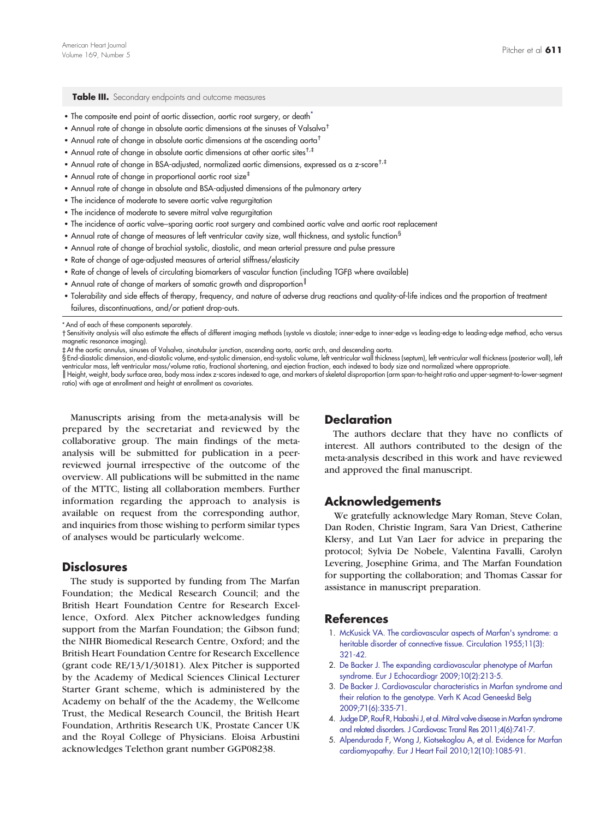#### <span id="page-6-0"></span>Table III. Secondary endpoints and outcome measures

- The composite end point of aortic dissection, aortic root surgery, or death<sup>\*</sup>
- Annual rate of change in absolute aortic dimensions at the sinuses of Valsalva<sup>†</sup>
- Annual rate of change in absolute aortic dimensions at the ascending aorta†
- Annual rate of change in absolute aortic dimensions at other aortic sites†,‡
- Annual rate of change in BSA-adjusted, normalized aortic dimensions, expressed as a z-score<sup>†,‡</sup>
- Annual rate of change in proportional aortic root size‡
- Annual rate of change in absolute and BSA-adjusted dimensions of the pulmonary artery
- The incidence of moderate to severe aortic valve regurgitation
- The incidence of moderate to severe mitral valve regurgitation
- The incidence of aortic valve–sparing aortic root surgery and combined aortic valve and aortic root replacement
- Annual rate of change of measures of left ventricular cavity size, wall thickness, and systolic function<sup>§</sup>
- Annual rate of change of brachial systolic, diastolic, and mean arterial pressure and pulse pressure
- Rate of change of age-adjusted measures of arterial stiffness/elasticity
- Rate of change of levels of circulating biomarkers of vascular function (including TGFβ where available)
- Annual rate of change of markers of somatic growth and disproportion<sup>||</sup>
- Tolerability and side effects of therapy, frequency, and nature of adverse drug reactions and quality-of-life indices and the proportion of treatment failures, discontinuations, and/or patient drop-outs.

⁎And of each of these components separately.

Manuscripts arising from the meta-analysis will be prepared by the secretariat and reviewed by the collaborative group. The main findings of the metaanalysis will be submitted for publication in a peerreviewed journal irrespective of the outcome of the overview. All publications will be submitted in the name of the MTTC, listing all collaboration members. Further information regarding the approach to analysis is available on request from the corresponding author, and inquiries from those wishing to perform similar types of analyses would be particularly welcome.

## **Disclosures**

The study is supported by funding from The Marfan Foundation; the Medical Research Council; and the British Heart Foundation Centre for Research Excellence, Oxford. Alex Pitcher acknowledges funding support from the Marfan Foundation; the Gibson fund; the NIHR Biomedical Research Centre, Oxford; and the British Heart Foundation Centre for Research Excellence (grant code RE/13/1/30181). Alex Pitcher is supported by the Academy of Medical Sciences Clinical Lecturer Starter Grant scheme, which is administered by the Academy on behalf of the the Academy, the Wellcome Trust, the Medical Research Council, the British Heart Foundation, Arthritis Research UK, Prostate Cancer UK and the Royal College of Physicians. Eloisa Arbustini acknowledges Telethon grant number GGP08238.

# **Declaration**

The authors declare that they have no conflicts of interest. All authors contributed to the design of the meta-analysis described in this work and have reviewed and approved the final manuscript.

## Acknowledgements

We gratefully acknowledge Mary Roman, Steve Colan, Dan Roden, Christie Ingram, Sara Van Driest, Catherine Klersy, and Lut Van Laer for advice in preparing the protocol; Sylvia De Nobele, Valentina Favalli, Carolyn Levering, Josephine Grima, and The Marfan Foundation for supporting the collaboration; and Thomas Cassar for assistance in manuscript preparation.

## References

- 1. [McKusick VA. The cardiovascular aspects of Marfan's syndrome: a](http://refhub.elsevier.com/S0002-8703(15)00101-5/rf0005) [heritable disorder of connective tissue. Circulation 1955;11\(3\):](http://refhub.elsevier.com/S0002-8703(15)00101-5/rf0005) [321-42.](http://refhub.elsevier.com/S0002-8703(15)00101-5/rf0005)
- 2. [De Backer J. The expanding cardiovascular phenotype of Marfan](http://refhub.elsevier.com/S0002-8703(15)00101-5/rf0010) [syndrome. Eur J Echocardiogr 2009;10\(2\):213-5.](http://refhub.elsevier.com/S0002-8703(15)00101-5/rf0010)
- 3. [De Backer J. Cardiovascular characteristics in Marfan syndrome and](http://refhub.elsevier.com/S0002-8703(15)00101-5/rf0015) [their relation to the genotype. Verh K Acad Geneeskd Belg](http://refhub.elsevier.com/S0002-8703(15)00101-5/rf0015) [2009;71\(6\):335-71.](http://refhub.elsevier.com/S0002-8703(15)00101-5/rf0015)
- 4. [Judge DP, Rouf R, Habashi J, et al. Mitral valve disease in Marfan syndrome](http://refhub.elsevier.com/S0002-8703(15)00101-5/rf0020) [and related disorders. J Cardiovasc Transl Res 2011;4\(6\):741-7.](http://refhub.elsevier.com/S0002-8703(15)00101-5/rf0020)
- 5. [Alpendurada F, Wong J, Kiotsekoglou A, et al. Evidence for Marfan](http://refhub.elsevier.com/S0002-8703(15)00101-5/rf0025) [cardiomyopathy. Eur J Heart Fail 2010;12\(10\):1085-91.](http://refhub.elsevier.com/S0002-8703(15)00101-5/rf0025)

<sup>†</sup> Sensitivity analysis will also estimate the effects of different imaging methods (systole vs diastole; inner-edge to inner-edge vs leading-edge to leading-edge method, echo versus magnetic resonance imaging).

<sup>‡</sup>At the aortic annulus, sinuses of Valsalva, sinotubular junction, ascending aorta, aortic arch, and descending aorta.

<sup>§</sup> End-diastolic dimension, end-diastolic volume, end-systolic dimension, end-systolic volume, left ventricular wall thickness (septum), left ventricular wall thickness (posterior wall), left ventricular mass, left ventricular mass/volume ratio, fractional shortening, and ejection fraction, each indexed to body size and normalized where appropriate.

<sup>║</sup>Height, weight, body surface area, body mass index z-scores indexed to age, and markers of skeletal disproportion (arm span-to-height ratio and upper-segment-to-lower-segment ratio) with age at enrollment and height at enrollment as covariates.